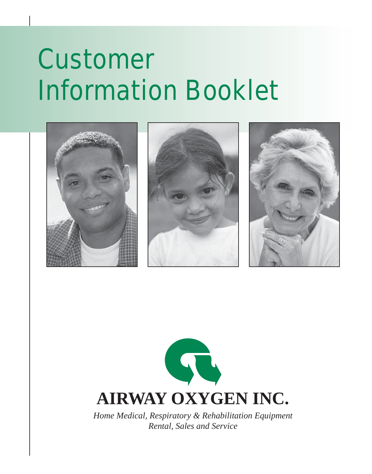# Customer Information Booklet





*Home Medical, Respiratory & Rehabilitation Equipment Rental, Sales and Service*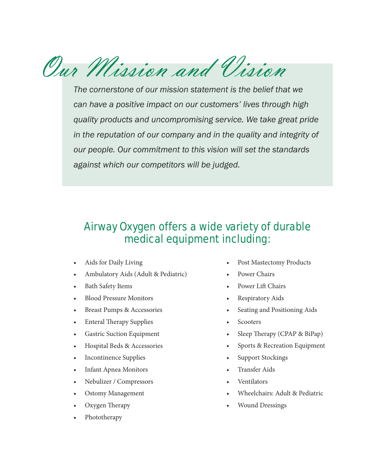Our Mission and Vision

*The cornerstone of our mission statement is the belief that we can have a positive impact on our customers' lives through high quality products and uncompromising service. We take great pride in the reputation of our company and in the quality and integrity of our people. Our commitment to this vision will set the standards against which our competitors will be judged.*

# Airway Oxygen offers a wide variety of durable medical equipment including:

- Aids for Daily Living
- Ambulatory Aids (Adult & Pediatric)
- Bath Safety Items
- Blood Pressure Monitors
- Breast Pumps & Accessories
- Enteral Therapy Supplies
- Gastric Suction Equipment
- Hospital Beds & Accessories
- Incontinence Supplies
- Infant Apnea Monitors
- Nebulizer / Compressors
- Ostomy Management
- Oxygen Therapy
- Phototherapy
- Post Mastectomy Products
- Power Chairs
- Power Lift Chairs
- Respiratory Aids
- Seating and Positioning Aids
- **Scooters**
- Sleep Therapy (CPAP & BiPap)
- Sports & Recreation Equipment
- Support Stockings
- Transfer Aids
- Ventilators
- Wheelchairs: Adult & Pediatric
- Wound Dressings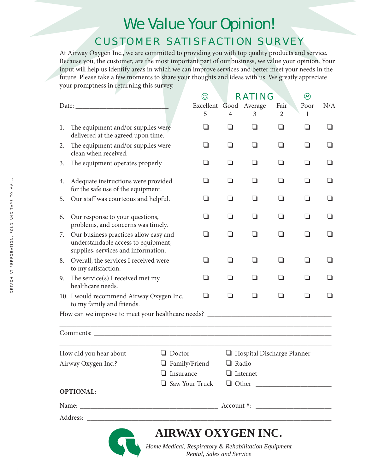# We Value Your Opinion! CUSTOMER SATISFACTION SURVEY

At Airway Oxygen Inc., we are committed to providing you with top quality products and service. Because you, the customer, are the most important part of our business, we value your opinion. Your input will help us identify areas in which we can improve services and better meet your needs in the future. Please take a few moments to share your thoughts and ideas with us. We greatly appreciate your promptness in returning this survey.

|                                                                  |                                                                                                                     |                      | $\odot$                                              |                | RATING                     |      | ☺              |          |
|------------------------------------------------------------------|---------------------------------------------------------------------------------------------------------------------|----------------------|------------------------------------------------------|----------------|----------------------------|------|----------------|----------|
| Date:                                                            |                                                                                                                     |                      | Excellent Good Average                               |                |                            | Fair | Poor           | N/A      |
|                                                                  |                                                                                                                     |                      | 5                                                    | 4              | 3                          | 2    | 1              |          |
| 1.                                                               | The equipment and/or supplies were<br>delivered at the agreed upon time.                                            |                      | ப                                                    | ப              | ப                          | ப    | ப              | ப        |
| The equipment and/or supplies were<br>2.<br>clean when received. |                                                                                                                     | ப                    | ப                                                    | ப              | ப                          | ப    | ப              |          |
| 3.                                                               | The equipment operates properly.                                                                                    |                      | ப                                                    | ப              | ப                          | ப    | ப              | ப        |
| 4.                                                               | Adequate instructions were provided<br>for the safe use of the equipment.                                           |                      | ш                                                    | - 1            | ப                          | l 1  | ப              | $\sqcup$ |
| 5.                                                               | Our staff was courteous and helpful.                                                                                |                      | l 1                                                  | H              | H                          | H    | ப              | ப        |
| 6.                                                               | Our response to your questions,<br>problems, and concerns was timely.                                               |                      | ப                                                    | $\Box$         | ப                          | ப    | ப              | ப        |
| 7.                                                               | Our business practices allow easy and<br>understandable access to equipment,<br>supplies, services and information. |                      | ப                                                    | l 1            | l 1                        | ப    | ப              | l 1      |
| 8.                                                               | Overall, the services I received were<br>to my satisfaction.                                                        |                      | ப                                                    | $\blacksquare$ | $\Box$                     | ப    | ப              | $\Box$   |
| 9.                                                               | The service(s) I received met my<br>healthcare needs.                                                               |                      | l I                                                  |                | - 1                        |      | <b>1</b>       |          |
|                                                                  | 10. I would recommend Airway Oxygen Inc.<br>to my family and friends.                                               |                      | □                                                    | H              | n                          | l 1  | $\blacksquare$ | - 1      |
|                                                                  |                                                                                                                     |                      |                                                      |                |                            |      |                |          |
|                                                                  |                                                                                                                     |                      |                                                      |                |                            |      |                |          |
|                                                                  | How did you hear about                                                                                              | $\Box$ Doctor        |                                                      |                | Hospital Discharge Planner |      |                |          |
|                                                                  | Airway Oxygen Inc.?                                                                                                 | $\Box$ Family/Friend |                                                      | <b>Radio</b>   |                            |      |                |          |
|                                                                  |                                                                                                                     |                      | $\Box$ Insurance                                     |                | $\Box$ Internet            |      |                |          |
|                                                                  |                                                                                                                     |                      | $\Box$ Saw Your Truck $\Box$ Other                   |                |                            |      |                |          |
|                                                                  | <b>OPTIONAL:</b>                                                                                                    |                      |                                                      |                |                            |      |                |          |
|                                                                  |                                                                                                                     |                      |                                                      |                |                            |      |                |          |
|                                                                  |                                                                                                                     |                      |                                                      |                |                            |      |                |          |
|                                                                  |                                                                                                                     |                      | <b>AIRWAY OXYGEN INC.</b>                            |                |                            |      |                |          |
|                                                                  |                                                                                                                     |                      | Home Medical, Respiratory & Rehabilitation Equipment |                |                            |      |                |          |
|                                                                  |                                                                                                                     |                      | Rental, Sales and Service                            |                |                            |      |                |          |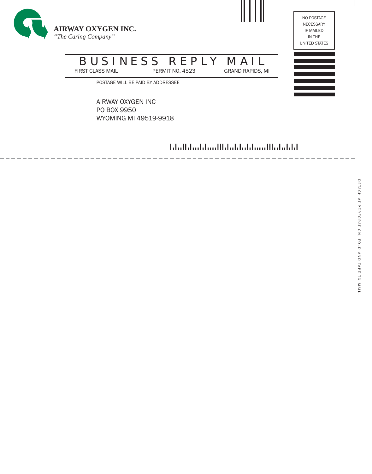



# BUSINESS REPLY MAIL<br>FIRST CLASS MAIL<br>PERMIT NO. 4523

GRAND RAPIDS, MI

POSTAGE WILL BE PAID BY ADDRESSEE

AIRWAY OXYGEN INC PO BOX 9950 WYOMING MI 49519-9918

hhallahaddoodllahabdahamillahabdal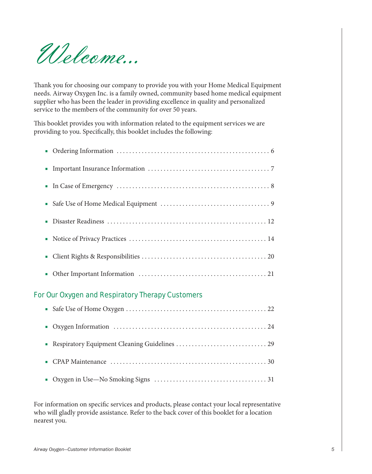Welcome...

Thank you for choosing our company to provide you with your Home Medical Equipment needs. Airway Oxygen Inc. is a family owned, community based home medical equipment supplier who has been the leader in providing excellence in quality and personalized service to the members of the community for over 50 years.

This booklet provides you with information related to the equipment services we are providing to you. Specifically, this booklet includes the following:

# For Our Oxygen and Respiratory Therapy Customers

| • Oxygen Information $\dots\dots\dots\dots\dots\dots\dots\dots\dots\dots\dots\dots\dots\dots 24$ |
|--------------------------------------------------------------------------------------------------|
|                                                                                                  |
|                                                                                                  |
|                                                                                                  |

For information on specific services and products, please contact your local representative who will gladly provide assistance. Refer to the back cover of this booklet for a location nearest you.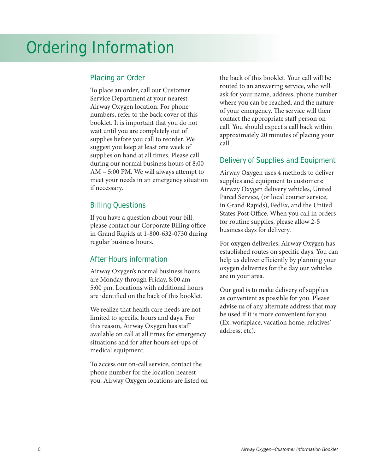# Placing an Order

To place an order, call our Customer Service Department at your nearest Airway Oxygen location. For phone numbers, refer to the back cover of this booklet. It is important that you do not wait until you are completely out of supplies before you call to reorder. We suggest you keep at least one week of supplies on hand at all times. Please call during our normal business hours of 8:00 AM – 5:00 PM. We will always attempt to meet your needs in an emergency situation if necessary.

# Billing Questions

If you have a question about your bill, please contact our Corporate Billing office in Grand Rapids at 1-800-632-0730 during regular business hours.

# After Hours information

Airway Oxygen's normal business hours are Monday through Friday, 8:00 am – 5:00 pm. Locations with additional hours are identified on the back of this booklet.

We realize that health care needs are not limited to specific hours and days. For this reason, Airway Oxygen has staff available on call at all times for emergency situations and for after hours set-ups of medical equipment.

To access our on-call service, contact the phone number for the location nearest you. Airway Oxygen locations are listed on the back of this booklet. Your call will be routed to an answering service, who will ask for your name, address, phone number where you can be reached, and the nature of your emergency. The service will then contact the appropriate staff person on call. You should expect a call back within approximately 20 minutes of placing your call.

# Delivery of Supplies and Equipment

Airway Oxygen uses 4 methods to deliver supplies and equipment to customers: Airway Oxygen delivery vehicles, United Parcel Service, (or local courier service, in Grand Rapids), FedEx, and the United States Post Office. When you call in orders for routine supplies, please allow 2-5 business days for delivery.

For oxygen deliveries, Airway Oxygen has established routes on specific days. You can help us deliver efficiently by planning your oxygen deliveries for the day our vehicles are in your area.

Our goal is to make delivery of supplies as convenient as possible for you. Please advise us of any alternate address that may be used if it is more convenient for you (Ex: workplace, vacation home, relatives' address, etc).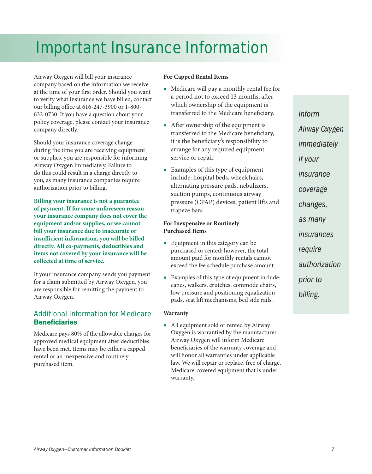# Important Insurance Information

Airway Oxygen will bill your insurance company based on the information we receive at the time of your first order. Should you want to verify what insurance we have billed, contact our billing office at 616-247-3900 or 1-800- 632-0730. If you have a question about your policy coverage, please contact your insurance company directly.

Should your insurance coverage change during the time you are receiving equipment or supplies, you are responsible for informing Airway Oxygen immediately. Failure to do this could result in a charge directly to you, as many insurance companies require authorization prior to billing.

**Billing your insurance is not a guarantee of payment. If for some unforeseen reason your insurance company does not cover the equipment and/or supplies, or we cannot bill your insurance due to inaccurate or insufficient information, you will be billed directly. All co-payments, deductibles and items not covered by your insurance will be collected at time of service.**

If your insurance company sends you payment for a claim submitted by Airway Oxygen, you are responsible for remitting the payment to Airway Oxygen.

# Additional Information for Medicare **Beneficiaries**

Medicare pays 80% of the allowable charges for approved medical equipment after deductibles have been met. Items may be either a capped rental or an inexpensive and routinely purchased item.

# **For Capped Rental Items**

- Medicare will pay a monthly rental fee for a period not to exceed 13 months, after which ownership of the equipment is transferred to the Medicare beneficiary.
- After ownership of the equipment is transferred to the Medicare beneficiary, it is the beneficiary's responsibility to arrange for any required equipment service or repair.
- Examples of this type of equipment include: hospital beds, wheelchairs, alternating pressure pads, nebulizers, suction pumps, continuous airway pressure (CPAP) devices, patient lifts and trapeze bars.

## **For Inexpensive or Routinely Purchased Items**

- Equipment in this category can be purchased or rented; however, the total amount paid for monthly rentals cannot exceed the fee schedule purchase amount.
- Examples of this type of equipment include: canes, walkers, crutches, commode chairs, low pressure and positioning equalization pads, seat lift mechanisms, bed side rails.

#### **Warranty**

■ All equipment sold or rented by Airway Oxygen is warrantied by the manufacturer. Airway Oxygen will inform Medicare beneficiaries of the warranty coverage and will honor all warranties under applicable law. We will repair or replace, free of charge, Medicare-covered equipment that is under warranty.

*Inform Airway Oxygen immediately if your insurance coverage changes, as many insurances require authorization prior to billing.*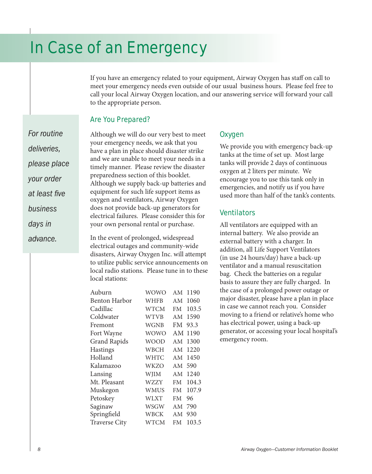# In Case of an Emergency

If you have an emergency related to your equipment, Airway Oxygen has staff on call to meet your emergency needs even outside of our usual business hours. Please feel free to call your local Airway Oxygen location, and our answering service will forward your call to the appropriate person.

# Are You Prepared?

*For routine deliveries, please place your order at least five business days in advance.*

Although we will do our very best to meet your emergency needs, we ask that you have a plan in place should disaster strike and we are unable to meet your needs in a timely manner. Please review the disaster preparedness section of this booklet. Although we supply back-up batteries and equipment for such life support items as oxygen and ventilators, Airway Oxygen does not provide back-up generators for electrical failures. Please consider this for your own personal rental or purchase.

In the event of prolonged, widespread electrical outages and community-wide disasters, Airway Oxygen Inc. will attempt to utilize public service announcements on local radio stations. Please tune in to these local stations:

| Auburn               | WOWO        | A M       | 1190  |
|----------------------|-------------|-----------|-------|
| <b>Benton Harbor</b> | WHFB        | AM        | 1060  |
| Cadillac             | <b>WTCM</b> | FM        | 103.5 |
| Coldwater            | <b>WTVB</b> | AM        | 1590  |
| Fremont              | <b>WGNB</b> | FM        | 93.3  |
| Fort Wayne           | <b>WOWO</b> | AM        | 1190  |
| <b>Grand Rapids</b>  | <b>WOOD</b> | AM        | 1300  |
| <b>Hastings</b>      | WBCH        | AM        | 1220  |
| Holland              | <b>WHTC</b> | AM        | 1450  |
| Kalamazoo            | <b>WKZO</b> | AM        | 590   |
| Lansing              | <b>WJIM</b> | AM        | 1240  |
| Mt. Pleasant         | <b>WZZY</b> | FM        | 104.3 |
| Muskegon             | <b>WMUS</b> | FM        | 107.9 |
| Petoskey             | <b>WLXT</b> | <b>FM</b> | 96    |
| Saginaw              | <b>WSGW</b> | AM        | 790   |
| Springfield          | WBCK        | AM        | 930   |
| <b>Traverse City</b> | WTCM        | FM        | 103.5 |

# **Oxygen**

We provide you with emergency back-up tanks at the time of set up. Most large tanks will provide 2 days of continuous oxygen at 2 liters per minute. We encourage you to use this tank only in emergencies, and notify us if you have used more than half of the tank's contents.

# **Ventilators**

All ventilators are equipped with an internal battery. We also provide an external battery with a charger. In addition, all Life Support Ventilators (in use 24 hours/day) have a back-up ventilator and a manual resuscitation bag. Check the batteries on a regular basis to assure they are fully charged. In the case of a prolonged power outage or major disaster, please have a plan in place in case we cannot reach you. Consider moving to a friend or relative's home who has electrical power, using a back-up generator, or accessing your local hospital's emergency room.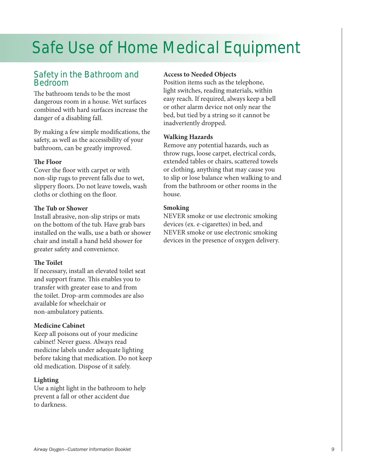# Safe Use of Home Medical Equipment

# Safety in the Bathroom and **Bedroom**

The bathroom tends to be the most dangerous room in a house. Wet surfaces combined with hard surfaces increase the danger of a disabling fall.

By making a few simple modifications, the safety, as well as the accessibility of your bathroom, can be greatly improved.

# **The Floor**

Cover the floor with carpet or with non-slip rugs to prevent falls due to wet, slippery floors. Do not leave towels, wash cloths or clothing on the floor.

# **The Tub or Shower**

Install abrasive, non-slip strips or mats on the bottom of the tub. Have grab bars installed on the walls, use a bath or shower chair and install a hand held shower for greater safety and convenience.

# **The Toilet**

If necessary, install an elevated toilet seat and support frame. This enables you to transfer with greater ease to and from the toilet. Drop-arm commodes are also available for wheelchair or non-ambulatory patients.

# **Medicine Cabinet**

Keep all poisons out of your medicine cabinet! Never guess. Always read medicine labels under adequate lighting before taking that medication. Do not keep old medication. Dispose of it safely.

# **Lighting**

Use a night light in the bathroom to help prevent a fall or other accident due to darkness.

# **Access to Needed Objects**

Position items such as the telephone, light switches, reading materials, within easy reach. If required, always keep a bell or other alarm device not only near the bed, but tied by a string so it cannot be inadvertently dropped.

# **Walking Hazards**

Remove any potential hazards, such as throw rugs, loose carpet, electrical cords, extended tables or chairs, scattered towels or clothing, anything that may cause you to slip or lose balance when walking to and from the bathroom or other rooms in the house.

# **Smoking**

NEVER smoke or use electronic smoking devices (ex. e-cigarettes) in bed, and NEVER smoke or use electronic smoking devices in the presence of oxygen delivery.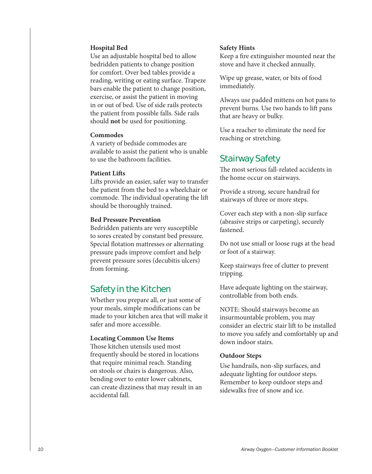### **Hospital Bed**

Use an adjustable hospital bed to allow bedridden patients to change position for comfort. Over bed tables provide a reading, writing or eating surface. Trapeze bars enable the patient to change position, exercise, or assist the patient in moving in or out of bed. Use of side rails protects the patient from possible falls. Side rails should **not** be used for positioning.

### **Commodes**

A variety of bedside commodes are available to assist the patient who is unable to use the bathroom facilities.

## **Patient Lifts**

Lifts provide an easier, safer way to transfer the patient from the bed to a wheelchair or commode. The individual operating the lift should be thoroughly trained.

## **Bed Pressure Prevention**

Bedridden patients are very susceptible to sores created by constant bed pressure. Special flotation mattresses or alternating pressure pads improve comfort and help prevent pressure sores (decubitis ulcers) from forming.

# Safety in the Kitchen

Whether you prepare all, or just some of your meals, simple modifications can be made to your kitchen area that will make it safer and more accessible.

## **Locating Common Use Items**

Those kitchen utensils used most frequently should be stored in locations that require minimal reach. Standing on stools or chairs is dangerous. Also, bending over to enter lower cabinets, can create dizziness that may result in an accidental fall.

#### **Safety Hints**

Keep a fire extinguisher mounted near the stove and have it checked annually.

Wipe up grease, water, or bits of food immediately.

Always use padded mittens on hot pans to prevent burns. Use two hands to lift pans that are heavy or bulky.

Use a reacher to eliminate the need for reaching or stretching.

# Stairway Safety

The most serious fall-related accidents in the home occur on stairways.

Provide a strong, secure handrail for stairways of three or more steps.

Cover each step with a non-slip surface (abrasive strips or carpeting), securely fastened.

Do not use small or loose rugs at the head or foot of a stairway.

Keep stairways free of clutter to prevent tripping.

Have adequate lighting on the stairway, controllable from both ends.

NOTE: Should stairways become an insurmountable problem, you may consider an electric stair lift to be installed to move you safely and comfortably up and down indoor stairs.

#### **Outdoor Steps**

Use handrails, non-slip surfaces, and adequate lighting for outdoor steps. Remember to keep outdoor steps and sidewalks free of snow and ice.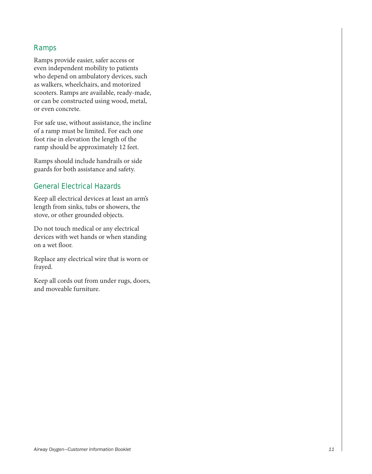# Ramps

Ramps provide easier, safer access or even independent mobility to patients who depend on ambulatory devices, such as walkers, wheelchairs, and motorized scooters. Ramps are available, ready-made, or can be constructed using wood, metal, or even concrete.

For safe use, without assistance, the incline of a ramp must be limited. For each one foot rise in elevation the length of the ramp should be approximately 12 feet.

Ramps should include handrails or side guards for both assistance and safety.

# General Electrical Hazards

Keep all electrical devices at least an arm's length from sinks, tubs or showers, the stove, or other grounded objects.

Do not touch medical or any electrical devices with wet hands or when standing on a wet floor.

Replace any electrical wire that is worn or frayed.

Keep all cords out from under rugs, doors, and moveable furniture.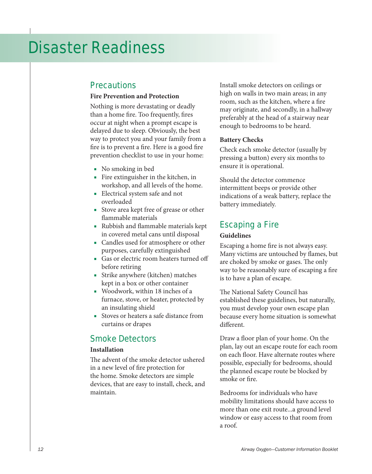# Disaster Readiness

# **Precautions**

# **Fire Prevention and Protection**

Nothing is more devastating or deadly than a home fire. Too frequently, fires occur at night when a prompt escape is delayed due to sleep. Obviously, the best way to protect you and your family from a fire is to prevent a fire. Here is a good fire prevention checklist to use in your home:

- No smoking in bed
- Fire extinguisher in the kitchen, in workshop, and all levels of the home.
- Electrical system safe and not overloaded
- Stove area kept free of grease or other flammable materials
- Rubbish and flammable materials kept in covered metal cans until disposal
- Candles used for atmosphere or other purposes, carefully extinguished
- Gas or electric room heaters turned off before retiring
- Strike anywhere (kitchen) matches kept in a box or other container
- Woodwork, within 18 inches of a furnace, stove, or heater, protected by an insulating shield
- Stoves or heaters a safe distance from curtains or drapes

# Smoke Detectors

# **Installation**

The advent of the smoke detector ushered in a new level of fire protection for the home. Smoke detectors are simple devices, that are easy to install, check, and maintain.

Install smoke detectors on ceilings or high on walls in two main areas; in any room, such as the kitchen, where a fire may originate, and secondly, in a hallway preferably at the head of a stairway near enough to bedrooms to be heard.

# **Battery Checks**

Check each smoke detector (usually by pressing a button) every six months to ensure it is operational.

Should the detector commence intermittent beeps or provide other indications of a weak battery, replace the battery immediately.

# Escaping a Fire

#### **Guidelines**

Escaping a home fire is not always easy. Many victims are untouched by flames, but are choked by smoke or gases. The only way to be reasonably sure of escaping a fire is to have a plan of escape.

The National Safety Council has established these guidelines, but naturally, you must develop your own escape plan because every home situation is somewhat different.

Draw a floor plan of your home. On the plan, lay out an escape route for each room on each floor. Have alternate routes where possible, especially for bedrooms, should the planned escape route be blocked by smoke or fire.

Bedrooms for individuals who have mobility limitations should have access to more than one exit route...a ground level window or easy access to that room from a roof.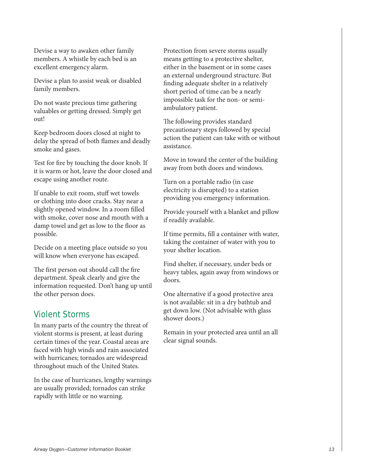Devise a way to awaken other family members. A whistle by each bed is an excellent emergency alarm.

Devise a plan to assist weak or disabled family members.

Do not waste precious time gathering valuables or getting dressed. Simply get out!

Keep bedroom doors closed at night to delay the spread of both flames and deadly smoke and gases.

Test for fire by touching the door knob. If it is warm or hot, leave the door closed and escape using another route.

If unable to exit room, stuff wet towels or clothing into door cracks. Stay near a slightly opened window. In a room filled with smoke, cover nose and mouth with a damp towel and get as low to the floor as possible.

Decide on a meeting place outside so you will know when everyone has escaped.

The first person out should call the fire department. Speak clearly and give the information requested. Don't hang up until the other person does.

# Violent Storms

In many parts of the country the threat of violent storms is present, at least during certain times of the year. Coastal areas are faced with high winds and rain associated with hurricanes; tornados are widespread throughout much of the United States.

In the case of hurricanes, lengthy warnings are usually provided; tornados can strike rapidly with little or no warning.

Protection from severe storms usually means getting to a protective shelter, either in the basement or in some cases an external underground structure. But finding adequate shelter in a relatively short period of time can be a nearly impossible task for the non- or semiambulatory patient.

The following provides standard precautionary steps followed by special action the patient can take with or without assistance.

Move in toward the center of the building away from both doors and windows.

Turn on a portable radio (in case electricity is disrupted) to a station providing you emergency information.

Provide yourself with a blanket and pillow if readily available.

If time permits, fill a container with water, taking the container of water with you to your shelter location.

Find shelter, if necessary, under beds or heavy tables, again away from windows or doors.

One alternative if a good protective area is not available: sit in a dry bathtub and get down low. (Not advisable with glass shower doors.)

Remain in your protected area until an all clear signal sounds.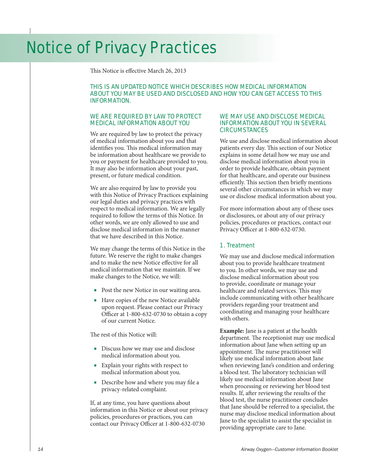# Notice of Privacy Practices

This Notice is effective March 26, 2013

### THIS IS AN UPDATED NOTICE WHICH DESCRIBES HOW MEDICAL INFORMATION ABOUT YOU MAY BE USED AND DISCLOSED AND HOW YOU CAN GET ACCESS TO THIS INFORMATION.

## WE ARE REQUIRED BY LAW TO PROTECT MEDICAL INFORMATION ABOUT YOU

We are required by law to protect the privacy of medical information about you and that identifies you. This medical information may be information about healthcare we provide to you or payment for healthcare provided to you. It may also be information about your past, present, or future medical condition.

We are also required by law to provide you with this Notice of Privacy Practices explaining our legal duties and privacy practices with respect to medical information. We are legally required to follow the terms of this Notice. In other words, we are only allowed to use and disclose medical information in the manner that we have described in this Notice.

We may change the terms of this Notice in the future. We reserve the right to make changes and to make the new Notice effective for all medical information that we maintain. If we make changes to the Notice, we will:

- Post the new Notice in our waiting area.
- Have copies of the new Notice available upon request. Please contact our Privacy Officer at 1-800-632-0730 to obtain a copy of our current Notice.

The rest of this Notice will:

- Discuss how we may use and disclose medical information about you.
- Explain your rights with respect to medical information about you.
- Describe how and where you may file a privacy-related complaint.

If, at any time, you have questions about information in this Notice or about our privacy policies, procedures or practices, you can contact our Privacy Officer at 1-800-632-0730

#### WE MAY USE AND DISCLOSE MEDICAL INFORMATION ABOUT YOU IN SEVERAL **CIRCUMSTANCES**

We use and disclose medical information about patients every day. This section of our Notice explains in some detail how we may use and disclose medical information about you in order to provide healthcare, obtain payment for that healthcare, and operate our business efficiently. This section then briefly mentions several other circumstances in which we may use or disclose medical information about you.

For more information about any of these uses or disclosures, or about any of our privacy policies, procedures or practices, contact our Privacy Officer at 1-800-632-0730.

#### 1. Treatment

We may use and disclose medical information about you to provide healthcare treatment to you. In other words, we may use and disclose medical information about you to provide, coordinate or manage your healthcare and related services. This may include communicating with other healthcare providers regarding your treatment and coordinating and managing your healthcare with others.

**Example:** Jane is a patient at the health department. The receptionist may use medical information about Jane when setting up an appointment. The nurse practitioner will likely use medical information about Jane when reviewing Jane's condition and ordering a blood test. The laboratory technician will likely use medical information about Jane when processing or reviewing her blood test results. If, after reviewing the results of the blood test, the nurse practitioner concludes that Jane should be referred to a specialist, the nurse may disclose medical information about Jane to the specialist to assist the specialist in providing appropriate care to Jane.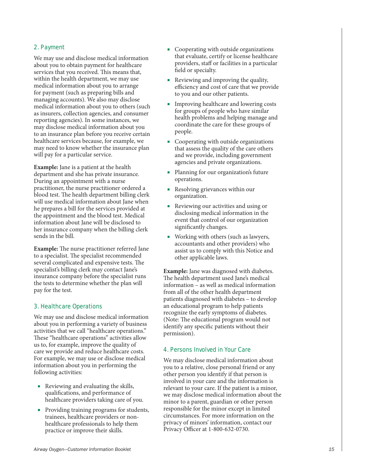## 2. Payment

We may use and disclose medical information about you to obtain payment for healthcare services that you received. This means that, within the health department, we may use medical information about you to arrange for payment (such as preparing bills and managing accounts). We also may disclose medical information about you to others (such as insurers, collection agencies, and consumer reporting agencies). In some instances, we may disclose medical information about you to an insurance plan before you receive certain healthcare services because, for example, we may need to know whether the insurance plan will pay for a particular service.

**Example:** Jane is a patient at the health department and she has private insurance. During an appointment with a nurse practitioner, the nurse practitioner ordered a blood test. The health department billing clerk will use medical information about Jane when he prepares a bill for the services provided at the appointment and the blood test. Medical information about Jane will be disclosed to her insurance company when the billing clerk sends in the bill.

**Example:** The nurse practitioner referred Jane to a specialist. The specialist recommended several complicated and expensive tests. The specialist's billing clerk may contact Jane's insurance company before the specialist runs the tests to determine whether the plan will pay for the test.

#### 3. Healthcare Operations

We may use and disclose medical information about you in performing a variety of business activities that we call "healthcare operations." These "healthcare operations" activities allow us to, for example, improve the quality of care we provide and reduce healthcare costs. For example, we may use or disclose medical information about you in performing the following activities:

- Reviewing and evaluating the skills, qualifications, and performance of healthcare providers taking care of you.
- Providing training programs for students, trainees, healthcare providers or nonhealthcare professionals to help them practice or improve their skills.
- Cooperating with outside organizations that evaluate, certify or license healthcare providers, staff or facilities in a particular field or specialty.
- Reviewing and improving the quality, efficiency and cost of care that we provide to you and our other patients.
- Improving healthcare and lowering costs for groups of people who have similar health problems and helping manage and coordinate the care for these groups of people.
- Cooperating with outside organizations that assess the quality of the care others and we provide, including government agencies and private organizations.
- Planning for our organization's future operations.
- Resolving grievances within our organization.
- Reviewing our activities and using or disclosing medical information in the event that control of our organization significantly changes.
- Working with others (such as lawyers, accountants and other providers) who assist us to comply with this Notice and other applicable laws.

**Example:** Jane was diagnosed with diabetes. The health department used Jane's medical information – as well as medical information from all of the other health department patients diagnosed with diabetes – to develop an educational program to help patients recognize the early symptoms of diabetes. (Note: The educational program would not identify any specific patients without their permission).

## 4. Persons Involved in Your Care

We may disclose medical information about you to a relative, close personal friend or any other person you identify if that person is involved in your care and the information is relevant to your care. If the patient is a minor, we may disclose medical information about the minor to a parent, guardian or other person responsible for the minor except in limited circumstances. For more information on the privacy of minors' information, contact our Privacy Officer at 1-800-632-0730.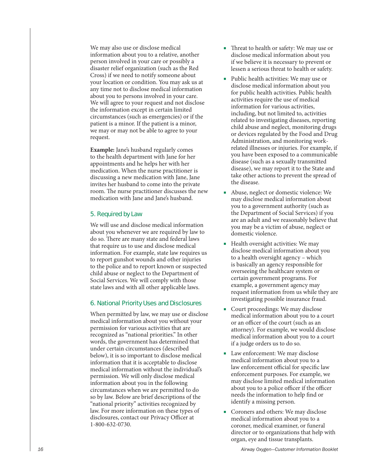We may also use or disclose medical information about you to a relative, another person involved in your care or possibly a disaster relief organization (such as the Red Cross) if we need to notify someone about your location or condition. You may ask us at any time not to disclose medical information about you to persons involved in your care. We will agree to your request and not disclose the information except in certain limited circumstances (such as emergencies) or if the patient is a minor. If the patient is a minor, we may or may not be able to agree to your request.

**Example:** Jane's husband regularly comes to the health department with Jane for her appointments and he helps her with her medication. When the nurse practitioner is discussing a new medication with Jane, Jane invites her husband to come into the private room. The nurse practitioner discusses the new medication with Jane and Jane's husband.

#### 5. Required by Law

We will use and disclose medical information about you whenever we are required by law to do so. There are many state and federal laws that require us to use and disclose medical information. For example, state law requires us to report gunshot wounds and other injuries to the police and to report known or suspected child abuse or neglect to the Department of Social Services. We will comply with those state laws and with all other applicable laws.

#### 6. National Priority Uses and Disclosures

When permitted by law, we may use or disclose medical information about you without your permission for various activities that are recognized as "national priorities." In other words, the government has determined that under certain circumstances (described below), it is so important to disclose medical information that it is acceptable to disclose medical information without the individual's permission. We will only disclose medical information about you in the following circumstances when we are permitted to do so by law. Below are brief descriptions of the "national priority" activities recognized by law. For more information on these types of disclosures, contact our Privacy Officer at 1-800-632-0730.

- Threat to health or safety: We may use or disclose medical information about you if we believe it is necessary to prevent or lessen a serious threat to health or safety.
- Public health activities: We may use or disclose medical information about you for public health activities. Public health activities require the use of medical information for various activities, including, but not limited to, activities related to investigating diseases, reporting child abuse and neglect, monitoring drugs or devices regulated by the Food and Drug Administration, and monitoring workrelated illnesses or injuries. For example, if you have been exposed to a communicable disease (such as a sexually transmitted disease), we may report it to the State and take other actions to prevent the spread of the disease.
- Abuse, neglect or domestic violence: We may disclose medical information about you to a government authority (such as the Department of Social Services) if you are an adult and we reasonably believe that you may be a victim of abuse, neglect or domestic violence.
- Health oversight activities: We may disclose medical information about you to a health oversight agency – which is basically an agency responsible for overseeing the healthcare system or certain government programs. For example, a government agency may request information from us while they are investigating possible insurance fraud.
- Court proceedings: We may disclose medical information about you to a court or an officer of the court (such as an attorney). For example, we would disclose medical information about you to a court if a judge orders us to do so.
- Law enforcement: We may disclose medical information about you to a law enforcement official for specific law enforcement purposes. For example, we may disclose limited medical information about you to a police officer if the officer needs the information to help find or identify a missing person.
- Coroners and others: We may disclose medical information about you to a coroner, medical examiner, or funeral director or to organizations that help with organ, eye and tissue transplants.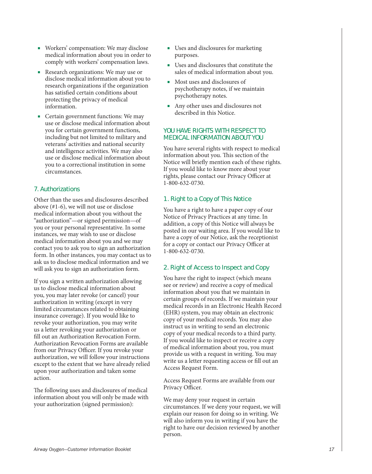- Workers' compensation: We may disclose medical information about you in order to comply with workers' compensation laws.
- Research organizations: We may use or disclose medical information about you to research organizations if the organization has satisfied certain conditions about protecting the privacy of medical information.
- Certain government functions: We may use or disclose medical information about you for certain government functions, including but not limited to military and veterans' activities and national security and intelligence activities. We may also use or disclose medical information about you to a correctional institution in some circumstances.

# 7. Authorizations

Other than the uses and disclosures described above (#1-6), we will not use or disclose medical information about you without the "authorization"—or signed permission—of you or your personal representative. In some instances, we may wish to use or disclose medical information about you and we may contact you to ask you to sign an authorization form. In other instances, you may contact us to ask us to disclose medical information and we will ask you to sign an authorization form.

If you sign a written authorization allowing us to disclose medical information about you, you may later revoke (or cancel) your authorization in writing (except in very limited circumstances related to obtaining insurance coverage). If you would like to revoke your authorization, you may write us a letter revoking your authorization or fill out an Authorization Revocation Form. Authorization Revocation Forms are available from our Privacy Officer. If you revoke your authorization, we will follow your instructions except to the extent that we have already relied upon your authorization and taken some action.

The following uses and disclosures of medical information about you will only be made with your authorization (signed permission):

- Uses and disclosures for marketing purposes.
- Uses and disclosures that constitute the sales of medical information about you.
- Most uses and disclosures of psychotherapy notes, if we maintain psychotherapy notes.
- Any other uses and disclosures not described in this Notice.

### YOU HAVE RIGHTS WITH RESPECT TO MEDICAL INFORMATION ABOUT YOU

You have several rights with respect to medical information about you. This section of the Notice will briefly mention each of these rights. If you would like to know more about your rights, please contact our Privacy Officer at 1-800-632-0730.

## 1. Right to a Copy of This Notice

You have a right to have a paper copy of our Notice of Privacy Practices at any time. In addition, a copy of this Notice will always be posted in our waiting area. If you would like to have a copy of our Notice, ask the receptionist for a copy or contact our Privacy Officer at 1-800-632-0730.

#### 2. Right of Access to Inspect and Copy

You have the right to inspect (which means see or review) and receive a copy of medical information about you that we maintain in certain groups of records. If we maintain your medical records in an Electronic Health Record (EHR) system, you may obtain an electronic copy of your medical records. You may also instruct us in writing to send an electronic copy of your medical records to a third party. If you would like to inspect or receive a copy of medical information about you, you must provide us with a request in writing. You may write us a letter requesting access or fill out an Access Request Form.

Access Request Forms are available from our Privacy Officer.

We may deny your request in certain circumstances. If we deny your request, we will explain our reason for doing so in writing. We will also inform you in writing if you have the right to have our decision reviewed by another person.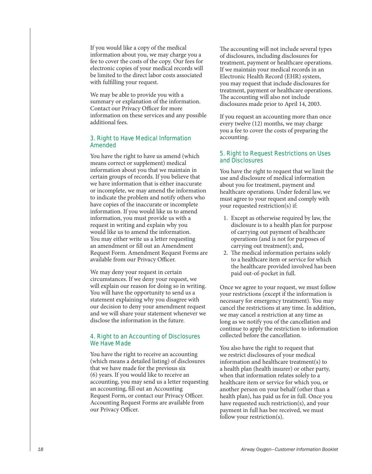If you would like a copy of the medical information about you, we may charge you a fee to cover the costs of the copy. Our fees for electronic copies of your medical records will be limited to the direct labor costs associated with fulfilling your request.

We may be able to provide you with a summary or explanation of the information. Contact our Privacy Officer for more information on these services and any possible additional fees.

## 3. Right to Have Medical Information Amended

You have the right to have us amend (which means correct or supplement) medical information about you that we maintain in certain groups of records. If you believe that we have information that is either inaccurate or incomplete, we may amend the information to indicate the problem and notify others who have copies of the inaccurate or incomplete information. If you would like us to amend information, you must provide us with a request in writing and explain why you would like us to amend the information. You may either write us a letter requesting an amendment or fill out an Amendment Request Form. Amendment Request Forms are available from our Privacy Officer.

We may deny your request in certain circumstances. If we deny your request, we will explain our reason for doing so in writing. You will have the opportunity to send us a statement explaining why you disagree with our decision to deny your amendment request and we will share your statement whenever we disclose the information in the future.

#### 4. Right to an Accounting of Disclosures We Have Made

You have the right to receive an accounting (which means a detailed listing) of disclosures that we have made for the previous six (6) years. If you would like to receive an accounting, you may send us a letter requesting an accounting, fill out an Accounting Request Form, or contact our Privacy Officer. Accounting Request Forms are available from our Privacy Officer.

The accounting will not include several types of disclosures, including disclosures for treatment, payment or healthcare operations. If we maintain your medical records in an Electronic Health Record (EHR) system, you may request that include disclosures for treatment, payment or healthcare operations. The accounting will also not include disclosures made prior to April 14, 2003.

If you request an accounting more than once every twelve (12) months, we may charge you a fee to cover the costs of preparing the accounting.

#### 5. Right to Request Restrictions on Uses and Disclosures

You have the right to request that we limit the use and disclosure of medical information about you for treatment, payment and healthcare operations. Under federal law, we must agree to your request and comply with your requested restriction(s) if:

- 1. Except as otherwise required by law, the disclosure is to a health plan for purpose of carrying out payment of healthcare operations (and is not for purposes of carrying out treatment); and,
- 2. The medical information pertains solely to a healthcare item or service for which the healthcare provided involved has been paid out-of-pocket in full.

Once we agree to your request, we must follow your restrictions (except if the information is necessary for emergency treatment). You may cancel the restrictions at any time. In addition, we may cancel a restriction at any time as long as we notify you of the cancellation and continue to apply the restriction to information collected before the cancellation.

You also have the right to request that we restrict disclosures of your medical information and healthcare treatment(s) to a health plan (health insurer) or other party, when that information relates solely to a healthcare item or service for which you, or another person on your behalf (other than a health plan), has paid us for in full. Once you have requested such restriction(s), and your payment in full has bee received, we must follow your restriction(s).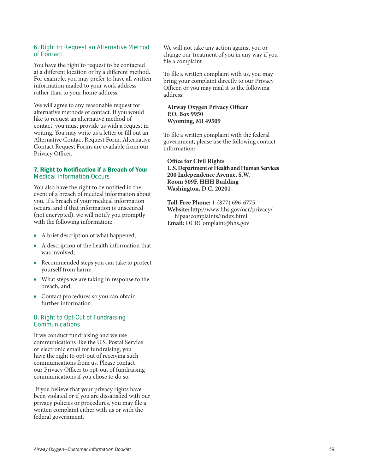### 6. Right to Request an Alternative Method of Contact

You have the right to request to be contacted at a different location or by a different method. For example, you may prefer to have all written information mailed to your work address rather than to your home address.

We will agree to any reasonable request for alternative methods of contact. If you would like to request an alternative method of contact, you must provide us with a request in writing. You may write us a letter or fill out an Alternative Contact Request Form. Alternative Contact Request Forms are available from our Privacy Officer.

#### 7. Right to Notification if a Breach of Your Medical Information Occurs

You also have the right to be notified in the event of a breach of medical information about you. If a breach of your medical information occurs, and if that information is unsecured (not encrypted), we will notify you promptly with the following information:

- A brief description of what happened;
- A description of the health information that was involved;
- Recommended steps you can take to protect yourself from harm;
- What steps we are taking in response to the breach; and,
- Contact procedures so you can obtain further information.

#### 8. Right to Opt-Out of Fundraising **Communications**

If we conduct fundraising and we use communications like the U.S. Postal Service or electronic email for fundraising, you have the right to opt-out of receiving such communications from us. Please contact our Privacy Officer to opt-out of fundraising communications if you chose to do so.

 If you believe that your privacy rights have been violated or if you are dissatisfied with our privacy policies or procedures, you may file a written complaint either with us or with the federal government.

We will not take any action against you or change our treatment of you in any way if you file a complaint.

To file a written complaint with us, you may bring your complaint directly to our Privacy Officer, or you may mail it to the following address:

#### **Airway Oxygen Privacy Officer P.O. Box 9950 Wyoming, MI 49509**

To file a written complaint with the federal government, please use the following contact information:

**Office for Civil Rights U.S. Department of Health and Human Services 200 Independence Avenue, S.W. Room 509F, HHH Building Washington, D.C. 20201**

**Toll-Free Phone:** 1-(877) 696-6775 **Website:** http://www.hhs.gov/ocr/privacy/ hipaa/complaints/index.html **Email:** OCRComplaint@hhs.gov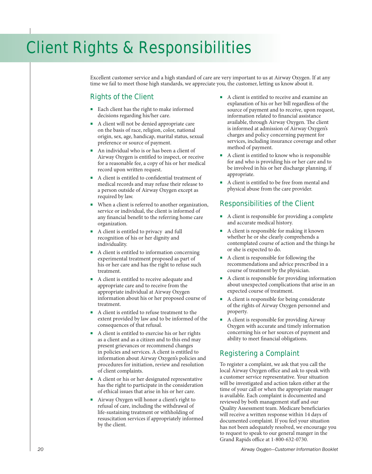# Client Rights & Responsibilities

Excellent customer service and a high standard of care are very important to us at Airway Oxygen. If at any time we fail to meet those high standards, we appreciate you, the customer, letting us know about it.

# Rights of the Client

- Each client has the right to make informed decisions regarding his/her care.
- A client will not be denied appropriate care on the basis of race, religion, color, national origin, sex, age, handicap, marital status, sexual preference or source of payment.
- An individual who is or has been a client of Airway Oxygen is entitled to inspect, or receive for a reasonable fee, a copy of his or her medical record upon written request.
- A client is entitled to confidential treatment of medical records and may refuse their release to a person outside of Airway Oxygen except as required by law.
- When a client is referred to another organization, service or individual, the client is informed of any financial benefit to the referring home care organization.
- A client is entitled to privacy and full recognition of his or her dignity and individuality.
- A client is entitled to information concerning experimental treatment proposed as part of his or her care and has the right to refuse such treatment.
- A client is entitled to receive adequate and appropriate care and to receive from the appropriate individual at Airway Oxygen information about his or her proposed course of treatment.
- A client is entitled to refuse treatment to the extent provided by law and to be informed of the consequences of that refusal.
- A client is entitled to exercise his or her rights as a client and as a citizen and to this end may present grievances or recommend changes in policies and services. A client is entitled to information about Airway Oxygen's policies and procedures for initiation, review and resolution of client complaints.
- A client or his or her designated representative has the right to participate in the consideration of ethical issues that arise in his or her care.
- Airway Oxygen will honor a client's right to refusal of care, including the withdrawal of life-sustaining treatment or withholding of resuscitation services if appropriately informed by the client.
- A client is entitled to receive and examine an explanation of his or her bill regardless of the source of payment and to receive, upon request, information related to financial assistance available, through Airway Oxygen. The client is informed at admission of Airway Oxygen's charges and policy concerning payment for services, including insurance coverage and other method of payment.
- A client is entitled to know who is responsible for and who is providing his or her care and to be involved in his or her discharge planning, if appropriate.
- A client is entitled to be free from mental and physical abuse from the care provider.

# Responsibilities of the Client

- A client is responsible for providing a complete and accurate medical history.
- A client is responsible for making it known whether he or she clearly comprehends a contemplated course of action and the things he or she is expected to do.
- A client is responsible for following the recommendations and advice prescribed in a course of treatment by the physician.
- A client is responsible for providing information about unexpected complications that arise in an expected course of treatment.
- A client is responsible for being considerate of the rights of Airway Oxygen personnel and property.
- A client is responsible for providing Airway Oxygen with accurate and timely information concerning his or her sources of payment and ability to meet financial obligations.

# Registering a Complaint

To register a complaint, we ask that you call the local Airway Oxygen office and ask to speak with a customer service representative. Your situation will be investigated and action taken either at the time of your call or when the appropriate manager is available. Each complaint is documented and reviewed by both management staff and our Quality Assessment team. Medicare beneficiaries will receive a written response within 14 days of documented complaint. If you feel your situation has not been adequately resolved, we encourage you to request to speak to our general manger in the Grand Rapids office at 1-800-632-0730.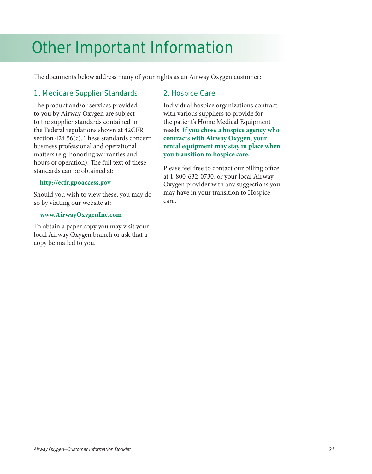# Other Important Information

The documents below address many of your rights as an Airway Oxygen customer:

# 1. Medicare Supplier Standards

The product and/or services provided to you by Airway Oxygen are subject to the supplier standards contained in the Federal regulations shown at 42CFR section 424.56(c). These standards concern business professional and operational matters (e.g. honoring warranties and hours of operation). The full text of these standards can be obtained at:

# **http://ecfr.gpoaccess.gov**

Should you wish to view these, you may do so by visiting our website at:

# **www.AirwayOxygenInc.com**

To obtain a paper copy you may visit your local Airway Oxygen branch or ask that a copy be mailed to you.

# 2. Hospice Care

Individual hospice organizations contract with various suppliers to provide for the patient's Home Medical Equipment needs. **If you chose a hospice agency who contracts with Airway Oxygen, your rental equipment may stay in place when you transition to hospice care.**

Please feel free to contact our billing office at 1-800-632-0730, or your local Airway Oxygen provider with any suggestions you may have in your transition to Hospice care.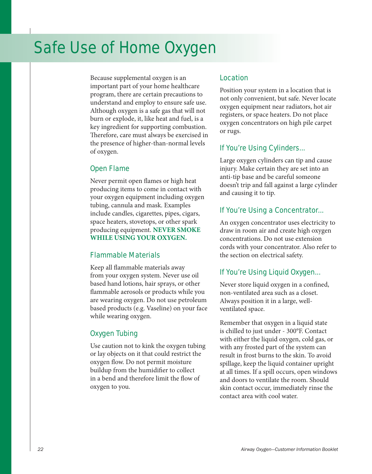# Safe Use of Home Oxygen

Because supplemental oxygen is an important part of your home healthcare program, there are certain precautions to understand and employ to ensure safe use. Although oxygen is a safe gas that will not burn or explode, it, like heat and fuel, is a key ingredient for supporting combustion. Therefore, care must always be exercised in the presence of higher-than-normal levels of oxygen.

# Open Flame

Never permit open flames or high heat producing items to come in contact with your oxygen equipment including oxygen tubing, cannula and mask. Examples include candles, cigarettes, pipes, cigars, space heaters, stovetops, or other spark producing equipment. **NEVER SMOKE WHILE USING YOUR OXYGEN.** 

# Flammable Materials

Keep all flammable materials away from your oxygen system. Never use oil based hand lotions, hair sprays, or other flammable aerosols or products while you are wearing oxygen. Do not use petroleum based products (e.g. Vaseline) on your face while wearing oxygen.

# Oxygen Tubing

Use caution not to kink the oxygen tubing or lay objects on it that could restrict the oxygen flow. Do not permit moisture buildup from the humidifier to collect in a bend and therefore limit the flow of oxygen to you.

# Location

Position your system in a location that is not only convenient, but safe. Never locate oxygen equipment near radiators, hot air registers, or space heaters. Do not place oxygen concentrators on high pile carpet or rugs.

# If You're Using Cylinders...

Large oxygen cylinders can tip and cause injury. Make certain they are set into an anti-tip base and be careful someone doesn't trip and fall against a large cylinder and causing it to tip.

# If You're Using a Concentrator...

An oxygen concentrator uses electricity to draw in room air and create high oxygen concentrations. Do not use extension cords with your concentrator. Also refer to the section on electrical safety.

# If You're Using Liquid Oxygen...

Never store liquid oxygen in a confined, non-ventilated area such as a closet. Always position it in a large, wellventilated space.

Remember that oxygen in a liquid state is chilled to just under - 300°F. Contact with either the liquid oxygen, cold gas, or with any frosted part of the system can result in frost burns to the skin. To avoid spillage, keep the liquid container upright at all times. If a spill occurs, open windows and doors to ventilate the room. Should skin contact occur, immediately rinse the contact area with cool water.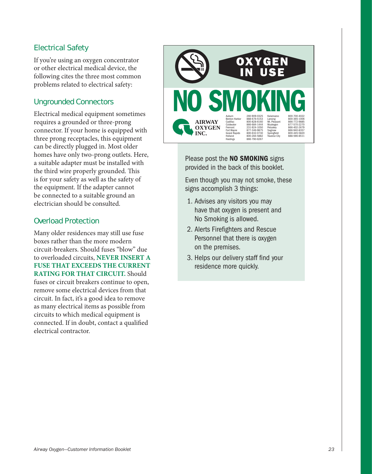# Electrical Safety

If you're using an oxygen concentrator or other electrical medical device, the following cites the three most common problems related to electrical safety:

# Ungrounded Connectors

Electrical medical equipment sometimes requires a grounded or three-prong connector. If your home is equipped with three prong receptacles, this equipment can be directly plugged in. Most older homes have only two-prong outlets. Here, a suitable adapter must be installed with the third wire properly grounded. This is for your safety as well as the safety of the equipment. If the adapter cannot be connected to a suitable ground an electrician should be consulted.

# Overload Protection

Many older residences may still use fuse boxes rather than the more modern circuit-breakers. Should fuses "blow" due to overloaded circuits, **NEVER INSERT A FUSE THAT EXCEEDS THE CURRENT RATING FOR THAT CIRCUIT.** Should fuses or circuit breakers continue to open, remove some electrical devices from that circuit. In fact, it's a good idea to remove as many electrical items as possible from circuits to which medical equipment is connected. If in doubt, contact a qualified electrical contractor.



Please post the **NO SMOKING** signs provided in the back of this booklet.

Even though you may not smoke, these signs accomplish 3 things:

- 1. Advises any visitors you may have that oxygen is present and No Smoking is allowed.
- 2. Alerts Firefighters and Rescue Personnel that there is oxygen on the premises.
- 3. Helps our delivery staff find your residence more quickly.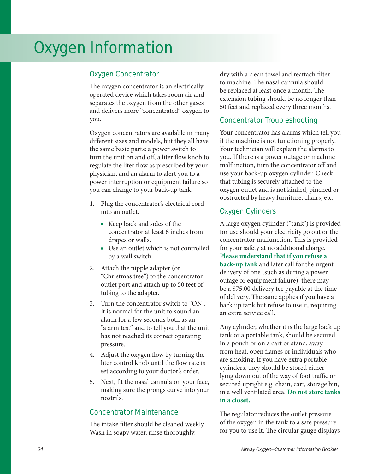# Oxygen Information

# Oxygen Concentrator

The oxygen concentrator is an electrically operated device which takes room air and separates the oxygen from the other gases and delivers more "concentrated" oxygen to you.

Oxygen concentrators are available in many different sizes and models, but they all have the same basic parts: a power switch to turn the unit on and off, a liter flow knob to regulate the liter flow as prescribed by your physician, and an alarm to alert you to a power interruption or equipment failure so you can change to your back-up tank.

- 1. Plug the concentrator's electrical cord into an outlet.
	- Keep back and sides of the concentrator at least 6 inches from drapes or walls.
	- Use an outlet which is not controlled by a wall switch.
- 2. Attach the nipple adapter (or "Christmas tree") to the concentrator outlet port and attach up to 50 feet of tubing to the adapter.
- 3. Turn the concentrator switch to "ON". It is normal for the unit to sound an alarm for a few seconds both as an "alarm test" and to tell you that the unit has not reached its correct operating pressure.
- 4. Adjust the oxygen flow by turning the liter control knob until the flow rate is set according to your doctor's order.
- 5. Next, fit the nasal cannula on your face, making sure the prongs curve into your nostrils.

# Concentrator Maintenance

The intake filter should be cleaned weekly. Wash in soapy water, rinse thoroughly,

dry with a clean towel and reattach filter to machine. The nasal cannula should be replaced at least once a month. The extension tubing should be no longer than 50 feet and replaced every three months.

# Concentrator Troubleshooting

Your concentrator has alarms which tell you if the machine is not functioning properly. Your technician will explain the alarms to you. If there is a power outage or machine malfunction, turn the concentrator off and use your back-up oxygen cylinder. Check that tubing is securely attached to the oxygen outlet and is not kinked, pinched or obstructed by heavy furniture, chairs, etc.

# Oxygen Cylinders

A large oxygen cylinder ("tank") is provided for use should your electricity go out or the concentrator malfunction. This is provided for your safety at no additional charge. **Please understand that if you refuse a back-up tank** and later call for the urgent delivery of one (such as during a power outage or equipment failure), there may be a \$75.00 delivery fee payable at the time of delivery. The same applies if you have a back up tank but refuse to use it, requiring an extra service call.

Any cylinder, whether it is the large back up tank or a portable tank, should be secured in a pouch or on a cart or stand, away from heat, open flames or individuals who are smoking. If you have extra portable cylinders, they should be stored either lying down out of the way of foot traffic or secured upright e.g. chain, cart, storage bin, in a well ventilated area. **Do not store tanks in a closet.** 

The regulator reduces the outlet pressure of the oxygen in the tank to a safe pressure for you to use it. The circular gauge displays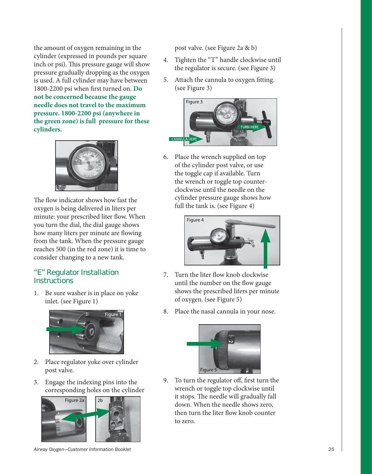the amount of oxygen remaining in the cylinder (expressed in pounds per square inch or psi). This pressure gauge will show pressure gradually dropping as the oxygen is used. A full cylinder may have between 1800-2200 psi when first turned on. **Do not be concerned because the gauge needle does not travel to the maximum pressure. 1800-2200 psi (anywhere in the green zone) is full pressure for these cylinders.**



The flow indicator shows how fast the oxygen is being delivered in liters per minute: your prescribed liter flow. When you turn the dial, the dial gauge shows how many liters per minute are flowing from the tank. When the pressure gauge reaches 500 (in the red zone) it is time to consider changing to a new tank.

# "E" Regulator Installation **Instructions**

1. Be sure washer is in place on yoke inlet. (see Figure 1)



- 2. Place regulator yoke over cylinder post valve.
- 3. Engage the indexing pins into the corresponding holes on the cylinder



*Airway Oxygen—Customer Information Booklet 25*

post valve. (see Figure 2a & b)

- 4. Tighten the "T" handle clockwise until the regulator is secure. (see Figure 3)
- 5. Attach the cannula to oxygen fitting. (see Figure 3)



6. Place the wrench supplied on top of the cylinder post valve, or use the toggle cap if available. Turn the wrench or toggle top counterclockwise until the needle on the cylinder pressure gauge shows how full the tank is. (see Figure 4)



- 7. Turn the liter flow knob clockwise until the number on the flow gauge shows the prescribed liters per minute of oxygen. (see Figure 5)
- 8. Place the nasal cannula in your nose.



9. To turn the regulator off, first turn the wrench or toggle top clockwise until it stops. The needle will gradually fall down. When the needle shows zero, then turn the liter flow knob counter to zero.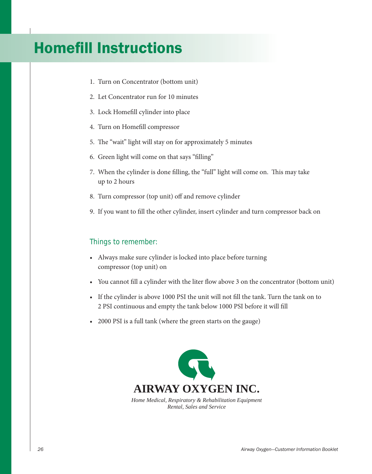# **Homefill Instructions**

- 1. Turn on Concentrator (bottom unit)
- 2. Let Concentrator run for 10 minutes
- 3. Lock Homefill cylinder into place
- 4. Turn on Homefill compressor
- 5. The "wait" light will stay on for approximately 5 minutes
- 6. Green light will come on that says "filling"
- 7. When the cylinder is done filling, the "full" light will come on. This may take up to 2 hours
- 8. Turn compressor (top unit) off and remove cylinder
- 9. If you want to fill the other cylinder, insert cylinder and turn compressor back on

# Things to remember:

- Always make sure cylinder is locked into place before turning compressor (top unit) on
- You cannot fill a cylinder with the liter flow above 3 on the concentrator (bottom unit)
- If the cylinder is above 1000 PSI the unit will not fill the tank. Turn the tank on to 2 PSI continuous and empty the tank below 1000 PSI before it will fill
- 2000 PSI is a full tank (where the green starts on the gauge)

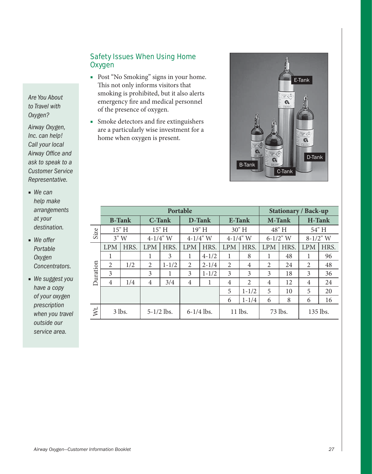# Safety Issues When Using Home **Oxygen**

- Post "No Smoking" signs in your home. This not only informs visitors that smoking is prohibited, but it also alerts emergency fire and medical personnel of the presence of oxygen.
- Smoke detectors and fire extinguishers are a particularly wise investment for a home when oxygen is present.



|          | Portable       |               |                |               |                  |           |                |                | <b>Stationary / Back-up</b>    |       |             |       |
|----------|----------------|---------------|----------------|---------------|------------------|-----------|----------------|----------------|--------------------------------|-------|-------------|-------|
|          |                | <b>B-Tank</b> |                | <b>C-Tank</b> | D-Tank<br>E-Tank |           |                |                | <b>H-Tank</b><br><b>M-Tank</b> |       |             |       |
| Size     |                | 15" H         |                | 15" H         |                  | 19" H     |                | 30" H          |                                | 48" H |             | 54" H |
|          | 3"W            |               | $4 - 1/4$ " W  |               | $4 - 1/4$ " W    |           | $4 - 1/4"$ W   |                | $6-1/2$ " W                    |       | $8-1/2$ " W |       |
|          | <b>LPM</b>     | HRS.          | <b>LPM</b>     | HRS.          | <b>LPM</b>       | HRS.      | <b>LPM</b>     | HRS.           | <b>LPM</b>                     | HRS.  | <b>LPM</b>  | HRS.  |
|          | 1              |               | 1              | 3             | 1                | $4 - 1/2$ | 1              | 8              |                                | 48    | 1           | 96    |
|          | $\overline{2}$ | 1/2           | 2              | $1 - 1/2$     | 2                | $2 - 1/4$ | $\overline{2}$ | 4              | 2                              | 24    | 2           | 48    |
| Duration | 3              |               | 3              |               | 3                | $1 - 1/2$ | 3              | 3              | 3                              | 18    | 3           | 36    |
|          | $\overline{4}$ | 1/4           | $\overline{4}$ | 3/4           | 4                |           | 4              | $\mathfrak{D}$ | $\overline{4}$                 | 12    | 4           | 24    |
|          |                |               |                |               |                  |           | 5              | $1 - 1/2$      | 5                              | 10    | 5           | 20    |
|          |                |               |                |               |                  |           | 6              | $1 - 1/4$      | 6                              | 8     | 6           | 16    |
| Wt.      |                | 3 lbs.        |                | $5-1/2$ lbs.  | $6-1/4$ lbs.     |           |                | 11 lbs.        | 73 lbs.                        |       | 135 lbs.    |       |

*Are You About to Travel with Oxygen?*

*Airway Oxygen, Inc. can help! Call your local Airway Office and ask to speak to a Customer Service Representative.* 

- *We can help make arrangements at your destination.*
- *We offer Portable Oxygen Concentrators.*
- *We suggest you have a copy of your oxygen prescription when you travel outside our service area.*

*Airway Oxygen—Customer Information Booklet 27*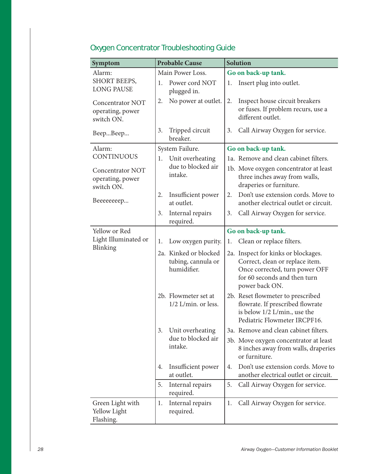| <b>Probable Cause</b><br>Symptom                          |                                                            | <b>Solution</b>                                                                                                                                            |
|-----------------------------------------------------------|------------------------------------------------------------|------------------------------------------------------------------------------------------------------------------------------------------------------------|
| Alarm:                                                    | Main Power Loss.                                           | Go on back-up tank.                                                                                                                                        |
| SHORT BEEPS,<br><b>LONG PAUSE</b>                         | Power cord NOT<br>1.<br>plugged in.                        | Insert plug into outlet.<br>1.                                                                                                                             |
| Concentrator NOT<br>operating, power<br>switch ON.        | No power at outlet.<br>2.                                  | Inspect house circuit breakers<br>2.<br>or fuses. If problem recurs, use a<br>different outlet.                                                            |
| BeepBeep                                                  | Tripped circuit<br>3.<br>breaker.                          | Call Airway Oxygen for service.<br>3.                                                                                                                      |
| Alarm:                                                    | System Failure.                                            | Go on back-up tank.                                                                                                                                        |
| CONTINUOUS                                                | Unit overheating<br>1.                                     | 1a. Remove and clean cabinet filters.                                                                                                                      |
| <b>Concentrator NOT</b><br>operating, power<br>switch ON. | due to blocked air<br>intake.                              | 1b. Move oxygen concentrator at least<br>three inches away from walls,<br>draperies or furniture.                                                          |
| Beeeeeeep                                                 | 2.<br>Insufficient power<br>at outlet.                     | Don't use extension cords. Move to<br>2.<br>another electrical outlet or circuit.                                                                          |
|                                                           | Internal repairs<br>3.<br>required.                        | Call Airway Oxygen for service.<br>3.                                                                                                                      |
| Yellow or Red                                             |                                                            | Go on back-up tank.                                                                                                                                        |
| Light Illuminated or                                      | 1.<br>Low oxygen purity.                                   | Clean or replace filters.<br>1.                                                                                                                            |
| Blinking                                                  | 2a. Kinked or blocked<br>tubing, cannula or<br>humidifier. | 2a. Inspect for kinks or blockages.<br>Correct, clean or replace item.<br>Once corrected, turn power OFF<br>for 60 seconds and then turn<br>power back ON. |
|                                                           | 2b. Flowmeter set at<br>1/2 L/min. or less.                | 2b. Reset flowmeter to prescribed<br>flowrate. If prescribed flowrate<br>is below 1/2 L/min., use the<br>Pediatric Flowmeter IRCPF16.                      |
|                                                           | Unit overheating<br>3.                                     | 3a. Remove and clean cabinet filters.                                                                                                                      |
|                                                           | due to blocked air<br>intake.                              | 3b. Move oxygen concentrator at least<br>8 inches away from walls, draperies<br>or furniture.                                                              |
|                                                           | Insufficient power<br>4.<br>at outlet.                     | Don't use extension cords. Move to<br>4.<br>another electrical outlet or circuit.                                                                          |
|                                                           | Internal repairs<br>5.<br>required.                        | 5.<br>Call Airway Oxygen for service.                                                                                                                      |
| Green Light with<br>Yellow Light<br>Flashing.             | Internal repairs<br>1.<br>required.                        | Call Airway Oxygen for service.<br>1.                                                                                                                      |

# Oxygen Concentrator Troubleshooting Guide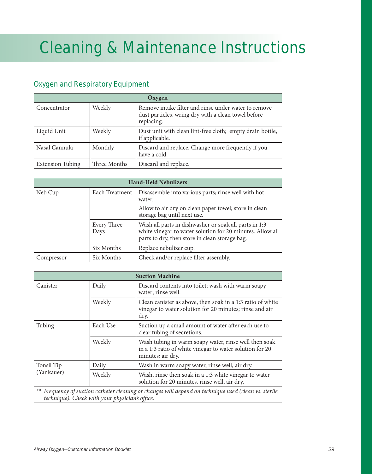# Cleaning & Maintenance Instructions

# Oxygen and Respiratory Equipment

| Oxygen                  |              |                                                                                                                           |  |  |  |
|-------------------------|--------------|---------------------------------------------------------------------------------------------------------------------------|--|--|--|
| Concentrator            | Weekly       | Remove intake filter and rinse under water to remove<br>dust particles, wring dry with a clean towel before<br>replacing. |  |  |  |
| Liquid Unit             | Weekly       | Dust unit with clean lint-free cloth; empty drain bottle,<br>if applicable.                                               |  |  |  |
| Nasal Cannula           | Monthly      | Discard and replace. Change more frequently if you<br>have a cold.                                                        |  |  |  |
| <b>Extension Tubing</b> | Three Months | Discard and replace.                                                                                                      |  |  |  |

| <b>Hand-Held Nebulizers</b> |                     |                                                                                                                                                                      |  |  |  |
|-----------------------------|---------------------|----------------------------------------------------------------------------------------------------------------------------------------------------------------------|--|--|--|
| Neb Cup                     | Each Treatment      | Disassemble into various parts; rinse well with hot<br>water.                                                                                                        |  |  |  |
|                             |                     | Allow to air dry on clean paper towel; store in clean<br>storage bag until next use.                                                                                 |  |  |  |
|                             | Every Three<br>Days | Wash all parts in dishwasher or soak all parts in 1:3<br>white vinegar to water solution for 20 minutes. Allow all<br>parts to dry, then store in clean storage bag. |  |  |  |
|                             | Six Months          | Replace nebulizer cup.                                                                                                                                               |  |  |  |
| Compressor                  | Six Months          | Check and/or replace filter assembly.                                                                                                                                |  |  |  |

|            | <b>Suction Machine</b> |                                                                                                                                        |  |  |  |
|------------|------------------------|----------------------------------------------------------------------------------------------------------------------------------------|--|--|--|
| Canister   | Daily                  | Discard contents into toilet; wash with warm soapy<br>water; rinse well.                                                               |  |  |  |
|            | Weekly                 | Clean canister as above, then soak in a 1:3 ratio of white<br>vinegar to water solution for 20 minutes; rinse and air<br>dry.          |  |  |  |
| Tubing     | Each Use               | Suction up a small amount of water after each use to<br>clear tubing of secretions.                                                    |  |  |  |
|            | Weekly                 | Wash tubing in warm soapy water, rinse well then soak<br>in a 1:3 ratio of white vinegar to water solution for 20<br>minutes; air dry. |  |  |  |
| Tonsil Tip | Daily                  | Wash in warm soapy water, rinse well, air dry.                                                                                         |  |  |  |
| (Yankauer) | Weekly                 | Wash, rinse then soak in a 1:3 white vinegar to water<br>solution for 20 minutes, rinse well, air dry.                                 |  |  |  |

*\*\* Frequency of suction catheter cleaning or changes will depend on technique used (clean vs. sterile technique). Check with your physician's office.*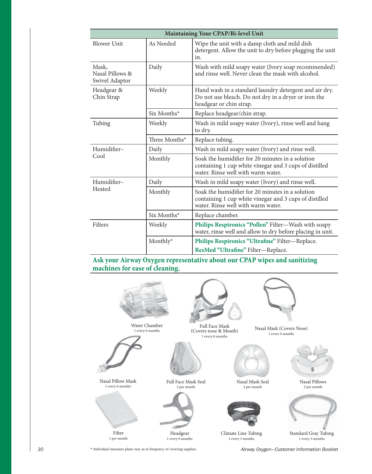| Maintaining Your CPAP/Bi-level Unit        |               |                                                                                                                                                  |  |  |  |  |  |
|--------------------------------------------|---------------|--------------------------------------------------------------------------------------------------------------------------------------------------|--|--|--|--|--|
| <b>Blower Unit</b>                         | As Needed     | Wipe the unit with a damp cloth and mild dish<br>detergent. Allow the unit to dry before plugging the unit<br>in.                                |  |  |  |  |  |
| Mask.<br>Nasal Pillows &<br>Swivel Adaptor | Daily         | Wash with mild soapy water (Ivory soap recommended)<br>and rinse well. Never clean the mask with alcohol.                                        |  |  |  |  |  |
| Headgear &<br>Chin Strap                   | Weekly        | Hand wash in a standard laundry detergent and air dry.<br>Do not use bleach. Do not dry in a dryer or iron the<br>headgear or chin strap.        |  |  |  |  |  |
|                                            | $Six$ Months* | Replace headgear/chin strap.                                                                                                                     |  |  |  |  |  |
| Tubing                                     | Weekly        | Wash in mild soapy water (Ivory), rinse well and hang<br>to dry.                                                                                 |  |  |  |  |  |
|                                            | Three Months* | Replace tubing.                                                                                                                                  |  |  |  |  |  |
| Humidifier-                                | Daily         | Wash in mild soapy water (Ivory) and rinse well.                                                                                                 |  |  |  |  |  |
| Cool                                       | Monthly       | Soak the humidifier for 20 minutes in a solution<br>containing 1 cup white vinegar and 3 cups of distilled<br>water. Rinse well with warm water. |  |  |  |  |  |
| Humidifier-                                | Daily         | Wash in mild soapy water (Ivory) and rinse well.                                                                                                 |  |  |  |  |  |
| Heated                                     | Monthly       | Soak the humidifier for 20 minutes in a solution<br>containing 1 cup white vinegar and 3 cups of distilled<br>water. Rinse well with warm water. |  |  |  |  |  |
|                                            | $Six$ Months* | Replace chamber.                                                                                                                                 |  |  |  |  |  |
| Filters                                    | Weekly        | Philips Respironics "Pollen" Filter-Wash with soapy<br>water, rinse well and allow to dry before placing in unit.                                |  |  |  |  |  |
|                                            | Monthly*      | Philips Respironics "Ultrafine" Filter-Replace.                                                                                                  |  |  |  |  |  |
|                                            |               | ResMed "Ultrafine" Filter-Replace.                                                                                                               |  |  |  |  |  |

**Ask your Airway Oxygen representative about our CPAP wipes and sanitizing machines for ease of cleaning.**



*30 Airway Oxygen—Customer Information Booklet* \* Individual insurance plans vary as to frequency of covering supplies.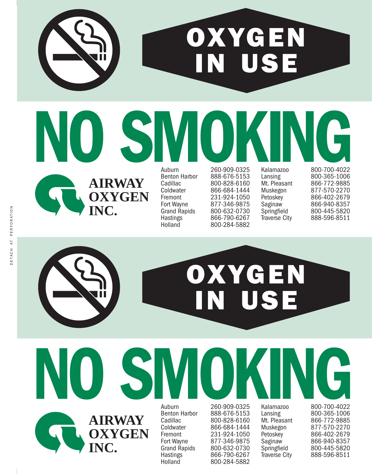# **OXYGEN N USE**

**AIRWAY OXYGEN INC.**

**NO SMOKING SUBARU 260-909-0325 Kalamazoo** 

260-909-0325 Benton Harbor 888-676-5153<br>Cadillac 800-828-6160 Cadillac 800-828-6160<br>Coldwater 866-684-1444 Coldwater 866-684-1444<br>Fremont 231-924-1050 Fremont 231-924-1050<br>Fort Wayne 877-346-9875 Fort Wayne 877-346-9875<br>Grand Rapids 800-632-0730 Grand Rapids 800-632-0730<br>Hastings 866-790-6267 Hastings 866-790-6267<br>
Holland 800-284-5882 800-284-5882

Kalamazoo 800-700-4022 Lansing 800-365-1006<br>Mt. Pleasant 866-772-9885 Mt. Pleasant 866-772-9885<br>Muskegon 877-570-2270 Muskegon 877-570-2270 Petoskey 866-402-2679<br>Saginaw 866-940-8357 Saginaw 866-940-8357 Springfield 800-445-5820 888-596-8511

# **OXYGEN USE**



Hastings 866-790-6267<br>
Holland 800-284-5882

260-909-0325 Benton Harbor 888-676-5153<br>Cadillac 800-828-6160 Cadillac 800-828-6160<br>Coldwater 866-684-1444 Coldwater 866-684-1444<br>Fremont 231-924-1050 Fremont 231-924-1050 Fort Wayne 877-346-9875<br>Grand Rapids 800-632-0730 Grand Rapids 800-632-0730<br>Hastings 866-790-6267 800-284-5882

800-700-4022 Lansing 800-365-1006<br>Mt. Pleasant 866-772-9885 Mt. Pleasant 866-772-9885<br>Muskegon 877-570-2270 Muskegon 877-570-2270 Petoskey 866-402-2679<br>Saginaw 866-940-8357 Saginaw 866-940-8357 Springfield 800-445-5820 888-596-8511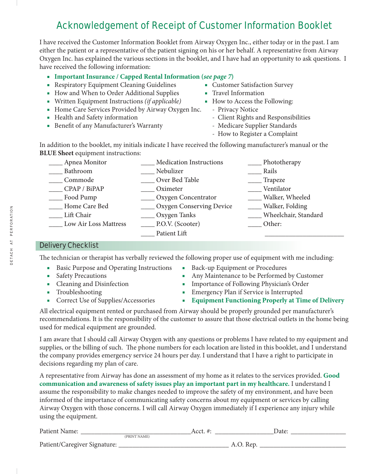# Acknowledgement of Receipt of Customer Information Booklet

I have received the Customer Information Booklet from Airway Oxygen Inc., either today or in the past. I am either the patient or a representative of the patient signing on his or her behalf. A representative from Airway Oxygen Inc. has explained the various sections in the booklet, and I have had an opportunity to ask questions. I have received the following information:

# ■ **Important Insurance / Capped Rental Information (***see page 7***)<br>■ Respiratory Equipment Cleaning Guidelines ■ Customer Satisfaction Survey**

- Respiratory Equipment Cleaning Guidelines
- How and When to Order Additional Supplies Travel Information
- Written Equipment Instructions *(if applicable)* How to Access the Following:
- Home Care Services Provided by Airway Oxygen Inc. Privacy Notice<br>■ Health and Safety information Client Rights and
- 
- Benefit of any Manufacturer's Warranty
- 
- 
- -
	- Client Rights and Responsibilities<br>- Medicare Supplier Standards
	-
	- How to Register a Complaint

In addition to the booklet, my initials indicate I have received the following manufacturer's manual or the **BLUE Sheet** equipment instructions:

| Apnea Monitor                | <b>Medication Instructions</b> | Phototherapy         |
|------------------------------|--------------------------------|----------------------|
| Bathroom                     | Nebulizer                      | Rails                |
| Commode                      | Over Bed Table                 | Trapeze              |
| CPAP / BiPAP                 | Oximeter                       | Ventilator           |
| Food Pump                    | <b>COXYGEN</b> Concentrator    | Walker, Wheeled      |
| Home Care Bed                | ____ Oxygen Conserving Device  | Walker, Folding      |
| Lift Chair                   | ___ Oxygen Tanks               | Wheelchair, Standard |
| <b>Low Air Loss Mattress</b> | $\_\,$ P.O.V. (Scooter)        | Other:               |
|                              | Patient Lift                   |                      |

# Delivery Checklist

The technician or therapist has verbally reviewed the following proper use of equipment with me including:

- Basic Purpose and Operating Instructions Back-up Equipment or Procedures
- 
- 
- 
- 
- 
- Safety Precautions<br>■ Any Maintenance to be Performed by Customer<br>■ Importance of Following Physician's Order
	- Importance of Following Physician's Order
- Troubleshooting Emergency Plan if Service is Interrupted
- Correct Use of Supplies/Accessories **Equipment Functioning Properly at Time of Delivery**

All electrical equipment rented or purchased from Airway should be properly grounded per manufacturer's recommendations. It is the responsibility of the customer to assure that those electrical outlets in the home being used for medical equipment are grounded.

I am aware that I should call Airway Oxygen with any questions or problems I have related to my equipment and supplies, or the billing of such. The phone numbers for each location are listed in this booklet, and I understand the company provides emergency service 24 hours per day. I understand that I have a right to participate in decisions regarding my plan of care.

A representative from Airway has done an assessment of my home as it relates to the services provided. **Good communication and awareness of safety issues play an important part in my healthcare.** I understand I assume the responsibility to make changes needed to improve the safety of my environment, and have been informed of the importance of communicating safety concerns about my equipment or services by calling Airway Oxygen with those concerns. I will call Airway Oxygen immediately if I experience any injury while using the equipment.

| Patient Name:                |              | $\sim$ $\sim$ +<br>ALLI. | Jate: |
|------------------------------|--------------|--------------------------|-------|
|                              | (PRINT NAME) |                          |       |
| Patient/Caregiver Signature: |              |                          |       |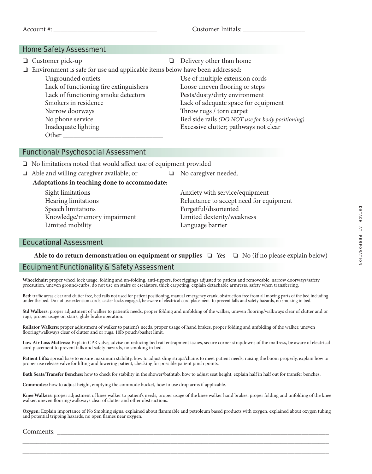Account #:  $\qquad \qquad$  Customer Initials:

## Home Safety Assessment

❏Customer pick-up ❏ Delivery other than home ❏Environment is safe for use and applicable items below have been addressed: Ungrounded outlets Use of multiple extension cords Lack of functioning fire extinguishers Loose uneven flooring or steps Lack of functioning smoke detectors Pests/dusty/dirty environment Smokers in residence Lack of adequate space for equipment Narrow doorways Throw rugs / torn carpet No phone service Bed side rails *(DO NOT use for body positioning)*<br>Inadequate lighting Excessive clutter; pathways not clear Excessive clutter; pathways not clear Other  $\Box$ 

# Functional/Psychosocial Assessment

❏No limitations noted that would affect use of equipment provided

❏Able and willing caregiver available; or ❏ No caregiver needed.

**Adaptations in teaching done to accommodate:**

Sight limitations Anxiety with service/equipment Speech limitations Forgetful/disoriented Knowledge/memory impairment Limited dexterity/weakness Limited mobility Language barrier

Hearing limitations Reluctance to accept need for equipment

# Educational Assessment

# Able to do return demonstration on equipment or supplies □ Yes □ No (if no please explain below)

## Equipment Functionality & Safety Assessment

**Wheelchair:** proper wheel lock usage, folding and un-folding, anti-tippers, foot riggings adjusted to patient and removeable, narrow doorways/safety precaution, uneven ground/curbs, do not use on stairs or escalators, thick carpeting, explain detachable armrests, safety when transferring.

**Bed:** traffic areas clear and clutter free, bed rails not used for patient positioning, manual emergency crank, obstruction free from all moving parts of the bed including under the bed. Do not use extension cords, caster locks engaged, be aware of electrical cord placement to prevent falls and safety hazards, no smoking in bed.

**Std Walkers:** proper adjustment of walker to patient's needs, proper folding and unfolding of the walker, uneven flooring/walkways clear of clutter and or rugs, proper usage on stairs, glide brake operation.

**Rollator Walkers:** proper adjustment of walker to patient's needs, proper usage of hand brakes, proper folding and unfolding of the walker, uneven flooring/walkways clear of clutter and or rugs, 10lb pouch/basket limit.

**Low Air Loss Mattress:** Explain CPR valve, advise on reducing bed rail entrapment issues, secure corner strapdowns of the mattress, be aware of electrical cord placement to prevent falls and safety hazards, no smoking in bed.

**Patient Lifts:** spread base to ensure maximum stability, how to adjust sling straps/chains to meet patient needs, raising the boom properly, explain how to proper use release valve for lifting and lowering patient, checking for possible patient pinch points.

**Bath Seats/Transfer Benches:** how to check for stability in the shower/bathtub, how to adjust seat height, explain half in half out for transfer benches.

**Commodes:** how to adjust height, emptying the commode bucket, how to use drop arms if applicable.

**Knee Walkers:** proper adjustment of knee walker to patient's needs, proper usage of the knee walker hand brakes, proper folding and unfolding of the knee<br>walker, uneven flooring/walkways clear of clutter and other obstruc

**Oxygen:** Explain importance of No Smoking signs, explained about flammable and petroleum based products with oxygen, explained about oxygen tubing and potential tripping hazards, no open flames near oxygen.

\_\_\_\_\_\_\_\_\_\_\_\_\_\_\_\_\_\_\_\_\_\_\_\_\_\_\_\_\_\_\_\_\_\_\_\_\_\_\_\_\_\_\_\_\_\_\_\_\_\_\_\_\_\_\_\_\_\_\_\_\_\_\_\_\_\_\_\_\_\_\_\_\_\_\_\_\_\_\_\_\_\_\_\_\_\_\_\_\_ \_\_\_\_\_\_\_\_\_\_\_\_\_\_\_\_\_\_\_\_\_\_\_\_\_\_\_\_\_\_\_\_\_\_\_\_\_\_\_\_\_\_\_\_\_\_\_\_\_\_\_\_\_\_\_\_\_\_\_\_\_\_\_\_\_\_\_\_\_\_\_\_\_\_\_\_\_\_\_\_\_\_\_\_\_\_\_\_\_

Comments: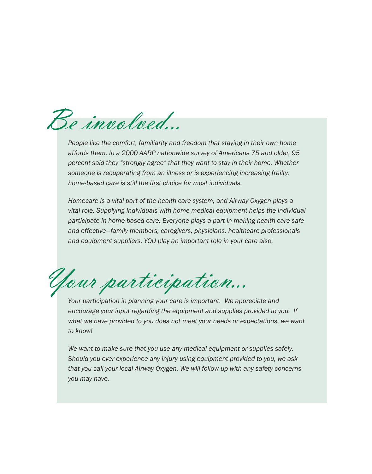Be involved...

*People like the comfort, familiarity and freedom that staying in their own home affords them. In a 2000 AARP nationwide survey of Americans 75 and older, 95 percent said they "strongly agree" that they want to stay in their home. Whether someone is recuperating from an illness or is experiencing increasing frailty, home-based care is still the first choice for most individuals.*

*Homecare is a vital part of the health care system, and Airway Oxygen plays a vital role. Supplying individuals with home medical equipment helps the individual participate in home-based care. Everyone plays a part in making health care safe and effective—family members, caregivers, physicians, healthcare professionals and equipment suppliers. YOU play an important role in your care also.*

Your participation...

*Your participation in planning your care is important. We appreciate and encourage your input regarding the equipment and supplies provided to you. If what we have provided to you does not meet your needs or expectations, we want to know!*

*We want to make sure that you use any medical equipment or supplies safely. Should you ever experience any injury using equipment provided to you, we ask that you call your local Airway Oxygen. We will follow up with any safety concerns you may have.*